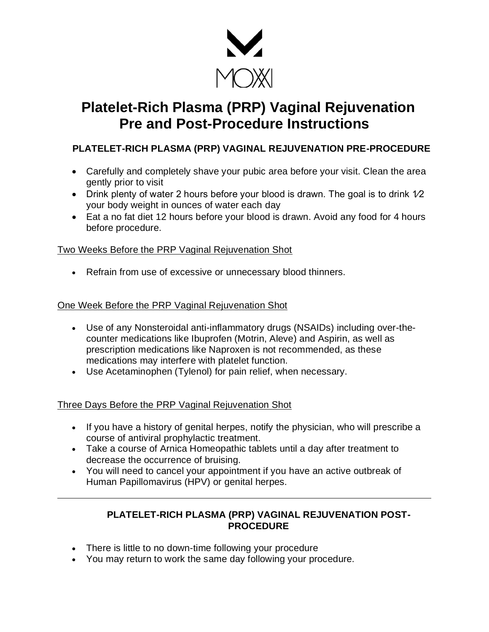

# **Platelet-Rich Plasma (PRP) Vaginal Rejuvenation Pre and Post-Procedure Instructions**

## **PLATELET-RICH PLASMA (PRP) VAGINAL REJUVENATION PRE-PROCEDURE**

- Carefully and completely shave your pubic area before your visit. Clean the area gently prior to visit
- Drink plenty of water 2 hours before your blood is drawn. The goal is to drink  $1/2$ your body weight in ounces of water each day
- Eat a no fat diet 12 hours before your blood is drawn. Avoid any food for 4 hours before procedure.

### Two Weeks Before the PRP Vaginal Rejuvenation Shot

• Refrain from use of excessive or unnecessary blood thinners.

### One Week Before the PRP Vaginal Rejuvenation Shot

- Use of any Nonsteroidal anti-inflammatory drugs (NSAIDs) including over-thecounter medications like Ibuprofen (Motrin, Aleve) and Aspirin, as well as prescription medications like Naproxen is not recommended, as these medications may interfere with platelet function.
- Use Acetaminophen (Tylenol) for pain relief, when necessary.

### Three Days Before the PRP Vaginal Rejuvenation Shot

- If you have a history of genital herpes, notify the physician, who will prescribe a course of antiviral prophylactic treatment.
- Take a course of Arnica Homeopathic tablets until a day after treatment to decrease the occurrence of bruising.
- You will need to cancel your appointment if you have an active outbreak of Human Papillomavirus (HPV) or genital herpes.

### **PLATELET-RICH PLASMA (PRP) VAGINAL REJUVENATION POST-PROCEDURE**

- There is little to no down-time following your procedure
- You may return to work the same day following your procedure.